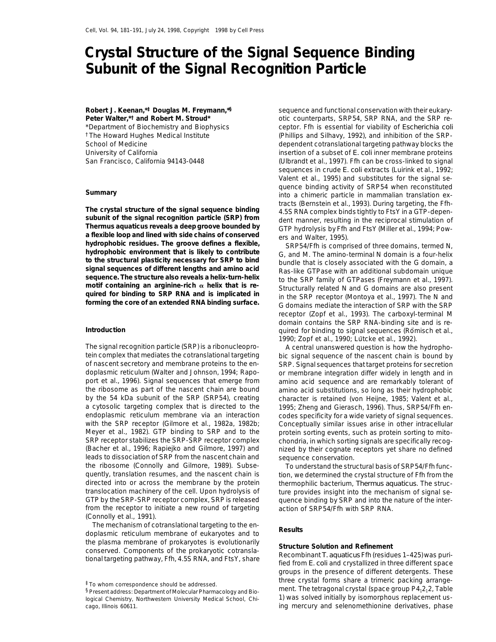# **Crystal Structure of the Signal Sequence Binding Subunit of the Signal Recognition Particle**

**Robert J. Keenan,\*‡ Douglas M. Freymann,\*§ Peter Walter,\*† and Robert M. Stroud\*** \*Department of Biochemistry and Biophysics

The crystal structure of the signal sequence binding<br>subunit of the signal recognition particle (SRP) from<br>Thermus aquaticus reveals a deep groove bounded by<br>a flexible loop and lined with side chains of conserved<br>hydropho

The signal recognition particle (SRP) is a ribonucleopro-<br>The signal recognition particle (SRP) is a ribonucleopro-<br>A central unanswered question is hound by<br>the hydrophology of the nascent chain is bound by of nascent secretory and membrane proteins to the en-<br>doplasmic reticulum (Walter and Johnson, 1994; Rapo- or membrane integration differ widely in length and in doplasmic reticulum (Walter and Johnson, 1994; Rapo- or membrane integration differ widely in length and in di<br>1997 port et al., 1996). Signal seguences that emerge from a amino acid seguence and are remarkably tolerant o port et al., 1996). Signal sequences that emerge from amino acid sequence and are remarkably tolerant of the nascent chain are bound and and and and as their hydrophobic. the ribosome as part of the nascent chain are bound amino acid substitutions, so long as their hydrophobic<br>by the 54 kDa subunit of the SRP (SRP54), creating acharacter is retained (von Heijne, 1985; Valent et al., by the 54 kDa subunit of the SRP (SRP54), creating character is retained (von Heijne, 1985; Valent et al., b.<br>a cytosolic targeting complex that is directed to the 1995; Zheng and Gierasch, 1996). Thus, SRP54/Ffh ena cytosolic targeting complex that is directed to the 1995; Zheng and Gierasch, 1996). Thus, SRP54/Ffh en-<br>endoplasmic reticulum membrane via an interaction codes specificity for a wide variety of signal seguences. endoplasmic reticulum membrane via an interaction codes specificity for a wide variety of signal sequences.<br>with the SRP receptor (Gilmore et al., 1982a, 1982b; conceptually similar issues arise in other intracellular with the SRP receptor (Gilmore et al., 1982a, 1982b; Conceptually similar issues arise in other intracellular<br>Meyer et al., 1982). GTP binding to SRP and to the corpotein sorting events, such as protein sorting to mito-Meyer et al., 1982). GTP binding to SRP and to the protein sorting events, such as protein sorting to mito-<br>SRP receptor stabilizes the SRP-SRP receptor complex chondria, in which sorting signals are specifically recog SRP receptor stabilizes the SRP-SRP receptor complex chondria, in which sorting signals are specifically recog-<br>(Bacher et al., 1996; Rapiejko and Gilmore, 1997) and inized by their cognate receptors yet share no defined leads to dissociation of SRP from the nascent chain and sequence conservation. the ribosome (Connolly and Gilmore, 1989). Subse- To understand the structural basis of SRP54/Ffh funcquently, translation resumes, and the nascent chain is tion, we determined the crystal structure of Ffh from the directed into or across the membrane by the protein thermophilic bacterium, *Thermus aquaticus*. The structranslocation machinery of the cell. Upon hydrolysis of ture provides insight into the mechanism of signal se-GTP by theSRP-SRP receptor complex, SRP is released quence binding by SRP and into the nature of the interfrom the receptor to initiate a new round of targeting action of SRP54/Ffh with SRP RNA. (Connolly et al., 1991).

The mechanism of cotranslational targeting to the en- **Results** doplasmic reticulum membrane of eukaryotes and to the plasma membrane of prokaryotes is evolutionarily<br>conserved. Components of the prokaryotic cotransla-<br>tional targeting pathway, Ffh, 4.5S RNA, and FtsY, share<br>fied from *E. coli* and crystallized in three different spac

sequence and functional conservation with their eukaryotic counterparts, SRP54, SRP RNA, and the SRP receptor. Ffh is essential for viability of *Escherichia coli* †The Howard Hughes Medical Institute (Phillips and Silhavy, 1992), and inhibition of the SRP-School of Medicine dependent cotranslational targeting pathway blocks the University of California insertion of a subset of *E. coli* inner membrane proteins San Francisco, California 94143-0448 (Ulbrandt et al., 1997). Ffh can be cross-linked to signal sequences in crude *E. coli* extracts (Luirink et al., 1992; Valent et al., 1995) and substitutes for the signal sequence binding activity of SRP54 when reconstituted<br>into a chimeric particle in mammalian translation ex-<br>**Summary** into a chimeric particle in mammalian translation ex-

to the structural plasticity necessary for SRP to bind<br>signal sequences of different lengths and amino acid<br>sequence. The structure also reveals a helix-turn-helix<br>motif containing an arginine-rich  $\alpha$  helix that is re-<br> receptor (Zopf et al., 1993). The carboxyl-terminal M domain contains the SRP RNA-binding site and is re-Introduction **Introduction** and the set of the sequences (Romisch et al., 1990; Zopf et al., 1990; Lütcke et al., 1992).

> bic signal sequence of the nascent chain is bound by nized by their cognate receptors yet share no defined

groups in the presence of different detergents. These three crystal forms share a trimeric packing arrange-<br>Expresent address: Department of Molecular Pharmacology and Bio-<br>Fresent address: Department of Molecular Pharmacology and Bio- ment. The tetragonal crystal (space grou logical Chemistry, Northwestern University Medical School, Chi- 1) was solved initially by isomorphous replacement us-

<sup>§</sup> Present address: Department of Molecular Pharmacology and Biocago, Illinois 60611. ing mercury and selenomethionine derivatives, phase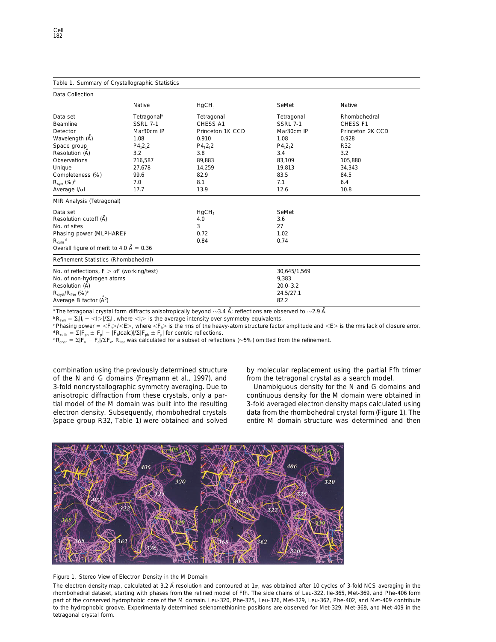| Table 1. Summary of Crystallographic Statistics<br>Data Collection |                         |                   |                 |                     |
|--------------------------------------------------------------------|-------------------------|-------------------|-----------------|---------------------|
|                                                                    |                         |                   |                 |                     |
| Data set                                                           | Tetragonal <sup>a</sup> | Tetragonal        | Tetragonal      | Rhombohedral        |
| <b>Beamline</b>                                                    | <b>SSRL 7-1</b>         | CHESS A1          | <b>SSRL 7-1</b> | CHESS <sub>F1</sub> |
| Detector                                                           | Mar30cm IP              | Princeton 1K CCD  | Mar30cm IP      | Princeton 2K CCD    |
| Wavelength (A)                                                     | 1.08                    | 0.910             | 1.08            | 0.928               |
| Space group                                                        | $P4_12_12$              | $P4_12_12$        | P4,2,2          | R32                 |
| Resolution (A)                                                     | 3.2                     | 3.8               | 3.4             | 3.2                 |
| Observations                                                       | 216,587                 | 89,883            | 83,109          | 105,880             |
| Unique                                                             | 27,678                  | 14,259            | 19,813          | 34,343              |
| Completeness (%)                                                   | 99.6                    | 82.9              | 83.5            | 84.5                |
| $R_{sym}$ (%) <sup>b</sup>                                         | 7.0                     | 8.1               | 7.1             | 6.4                 |
| Average I/σl                                                       | 17.7                    | 13.9              | 12.6            | 10.8                |
| MIR Analysis (Tetragonal)                                          |                         |                   |                 |                     |
| Data set                                                           |                         | HgCH <sub>3</sub> | <b>SeMet</b>    |                     |
| Resolution cutoff (A)                                              |                         | 4.0               | 3.6             |                     |
| No. of sites                                                       |                         | 3                 | 27              |                     |
| Phasing power (MLPHARE) <sup>c</sup>                               |                         | 0.72              | 1.02            |                     |
| $R_{\text{cullis}}^{\text{d}}$                                     |                         | 0.84              | 0.74            |                     |
| Overall figure of merit to 4.0 $\dot{A} = 0.36$                    |                         |                   |                 |                     |
| Refinement Statistics (Rhombohedral)                               |                         |                   |                 |                     |
| No. of reflections, $F > \sigma F$ (working/test)                  |                         |                   | 30,645/1,569    |                     |
| No. of non-hydrogen atoms                                          |                         |                   | 9,383           |                     |
| Resolution (A)                                                     |                         |                   | $20.0 - 3.2$    |                     |
| $R_{cryst}/R_{free}$ (%) <sup>e</sup>                              |                         |                   | 24.5/27.1       |                     |
| Average B factor (A <sup>2</sup> )                                 |                         |                   | 82.2            |                     |

<sup>a</sup> The tetragonal crystal form diffracts anisotropically beyond  $\sim$ 3.4 A<sup>\*</sup>; reflections are observed to  $\sim$ 2.9 A $\dot$ .

 $B_{\text{sym}} = \sum_i |I_i - \langle I \rangle| / \sum_i I_i$ , where  $\langle I \rangle$  is the average intensity over symmetry equivalents.

<sup>c</sup> Phasing power = <F<sub>h</sub>>/<E>, where <F<sub>n</sub>> is the rms of the heavy-atom structure factor amplitude and <*E*> is the rms lack of closure error. <sup>d</sup>R<sub>cullis</sub> =  $\sum |F_{ph} + F_p| - |F_n(calc)|/ \sum |F_{ph} + F_p|$  for centric reflections.<br><sup>e</sup>R<sub>cryst</sub> =  $\sum |F_o - F_c|/\sum F_o$  R<sub>free</sub> was calculated for a subset of reflections (~5%) omitted from the refinement.

combination using the previously determined structure by molecular replacement using the partial Ffh trimer of the N and G domains (Freymann et al., 1997), and from the tetragonal crystal as a search model. 3-fold noncrystallographic symmetry averaging. Due to Unambiguous density for the N and G domains and anisotropic diffraction from these crystals, only a par- continuous density for the M domain were obtained in tial model of the M domain was built into the resulting 3-fold averaged electron density maps calculated using electron density. Subsequently, rhombohedral crystals data from the rhombohedral crystal form (Figure 1). The (space group R32, Table 1) were obtained and solved entire M domain structure was determined and then



### Figure 1. Stereo View of Electron Density in the M Domain

The electron density map, calculated at 3.2 Å resolution and contoured at 1 $\sigma$ , was obtained after 10 cycles of 3-fold NCS averaging in the rhombohedral dataset, starting with phases from the refined model of Ffh. The side chains of Leu-322, Ile-365, Met-369, and Phe-406 form part of the conserved hydrophobic core of the M domain. Leu-320, Phe-325, Leu-326, Met-329, Leu-362, Phe-402, and Met-409 contribute to the hydrophobic groove. Experimentally determined selenomethionine positions are observed for Met-329, Met-369, and Met-409 in the tetragonal crystal form.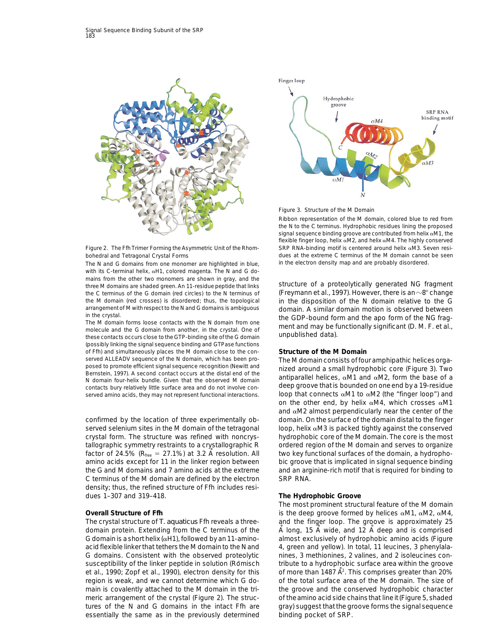

with its C-terminal helix,  $\alpha$ H1, colored magenta. The N and G domains from the other two monomers are shown in gray, and the structure of a proteolytically generated NG fragment three M domains are shaded green. An 11-residue peptide that links structure of a proteolytically generated NG fragment

(possibly linking the signal sequence binding and GTPase functions of Ffh) and simultaneously places the M domain close to the con- **Structure of the M Domain** served ALLEADV sequence of the N domain, which has been pro-<br>posed to promote efficient signal sequence recognition (Newitt and<br>Bernstein, 1997). A second contact occurs at the distal end of the<br>N domain four-helix bundle

C terminus of the M domain are defined by the electron SRP RNA. density; thus, the refined structure of Ffh includes residues 1–307 and 319–418. **The Hydrophobic Groove**

The crystal structure of *T. aquaticus* Ffh reveals a three- and the finger loop. The groove is approximately 25 domain protein. Extending from the C terminus of the  $\overline{a}$  A long, 15 A $\overline{a}$  wide, and 12 A $\overline{a}$  deep and is comprised G domain is a short helix ( $\alpha$ H1), followed by an 11-amino- almost exclusively of hydrophobic amino acids (Figure acid flexible linker that tethers the M domain to the N and 4, green and yellow). In total, 11 leucines, 3 phenylala-G domains. Consistent with the observed proteolytic nines, 3 methionines, 2 valines, and 2 isoleucines consusceptibility of the linker peptide in solution (Römisch tribute to a hydrophobic surface area within the groove et al., 1990; Zopf et al., 1990), electron density for this of more than 1487 Å<sup>2</sup>. This comprises greater than 20% region is weak, and we cannot determine which G do- of the total surface area of the M domain. The size of main is covalently attached to the M domain in the tri- the groove and the conserved hydrophobic character meric arrangement of the crystal (Figure 2). The struc- of theamino acid side chainsthat line it(Figure 5, shaded tures of the N and G domains in the intact Ffh are gray) suggest that the groove forms the signal sequence essentially the same as in the previously determined binding pocket of SRP.



Figure 3. Structure of the M Domain

Ribbon representation of the M domain, colored blue to red from the N to the C terminus. Hydrophobic residues lining the proposed signal sequence binding groove are contributed from helix  $\alpha$ M1, the flexible finger loop, helix  $\alpha$ M2, and helix  $\alpha$ M4. The highly conserved Figure 2. The Ffh Trimer Forming the Asymmetric Unit of the Rhom- SRP RNA-binding motif is centered around helix aM3. Seven resibohedral and Tetragonal Crystal Forms **dues at the extreme C terminus of the M domain cannot be seen** The N and G domains from one monomer are highlighted in blue, in the electron density map and are probably disordered.

the C terminus of the G domain (red circles) to the N terminus of (Freymann et al., 1997). However, there is an  $\sim 8^{\circ}$  change the M domain (red crosses) is disordered; thus, the topological in the disposition of the N domain relative to the G<br>arrangement of M with respect to the N and G domains is ambiguous domain. A similar domain motion is obse arrangement of M with respect to the N and G domains is ambiguous domain. A similar domain motion is observed between<br>in the crystal. In the Gystal.<br>The Music of the American of the NG frag-<br>The Music of the American of the NG frag-<br>ment and may be functionally significant (D. M. F. et al.,<br>method may be functionally significant (D. M. F. et al.,<br>these c

contacts bury relatively little surface area and do not involve con- deep groove that is bounded on one end by a 19-residue served amino acids, they may not represent functional interactions. loop that connects  $\alpha$ M1 to  $\alpha$ M2 (the "finger loop") and on the other end, by helix  $\alpha$ M4, which crosses  $\alpha$ M1 and  $\alpha$ M2 almost perpendicularly near the center of the confirmed by the location of three experimentally ob- domain. On the surface of the domain distal to the finger served selenium sites in the M domain of the tetragonal  $\qquad$  loop, helix  $\alpha$ M3 is packed tightly against the conserved crystal form. The structure was refined with noncrys- hydrophobic core of the M domain. The core is the most tallographic symmetry restraints to a crystallographic R ordered region of the M domain and serves to organize factor of 24.5% ( $R_{free}$  = 27.1%) at 3.2 A resolution. All two key functional surfaces of the domain, a hydrophoamino acids except for 11 in the linker region between bic groove that is implicated in signal sequence binding the G and M domains and 7 amino acids at the extreme and an arginine-rich motif that is required for binding to

The most prominent structural feature of the M domain **Overall Structure of Ffh** is the deep groove formed by helices αM1, αM2, αM4,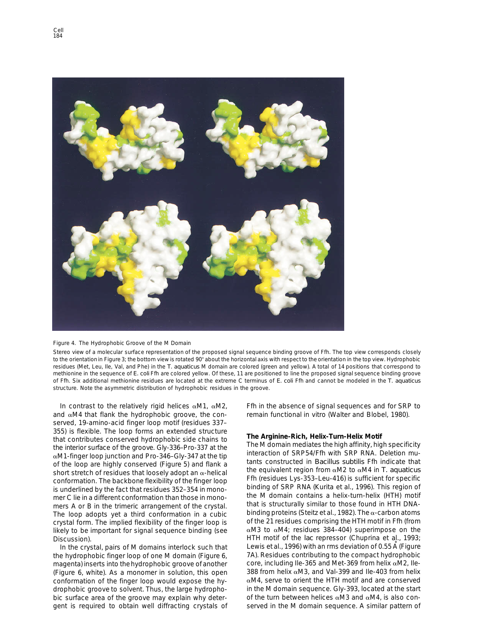



Stereo view of a molecular surface representation of the proposed signal sequence binding groove of Ffh. The top view corresponds closely to the orientation in Figure 3; the bottom view is rotated 90° about the horizontal axis with respect to the orientation in the top view. Hydrophobic residues (Met, Leu, Ile, Val, and Phe) in the *T. aquaticus* M domain are colored (green and yellow). A total of 14 positions that correspond to methionine in the sequence of *E. coli* Ffh are colored yellow. Of these, 11 are positioned to line the proposed signal sequence binding groove of Ffh. Six additional methionine residues are located at the extreme C terminus of *E. coli* Ffh and cannot be modeled in the *T. aquaticus* structure. Note the asymmetric distribution of hydrophobic residues in the groove.

and  $\alpha$ M4 that flank the hydrophobic groove, the con-<br>remain functional in vitro (Walter and Blobel, 1980). served, 19-amino-acid finger loop motif (residues 337– 355) is flexible. The loop forms an extended structure<br>that contributes conserved hydrophobic side chains to<br>the interior surface of the groove. Gly-336-Pro-337 at the<br> $\alpha$ M1-finger loop junction and Pro-346-Gly-347 at th short stretch of residues that loosely adopt an  $\alpha$ -helical<br>conformation. The backbone flexibility of the finger loop<br>is underlined by the fact that residues 352–354 in mono-<br>mer C lie in a different conformation than th mer C lie in a different conformation than those in mono-<br>mers A or B in the trimeric arrangement of the crystal that is structurally similar to those found in HTH DNAmers A or B in the trimeric arrangement of the crystal. That is structurally similar to those found in HTH DNA-<br>The loop adopts vet a third conformation in a cubic binding proteins (Steitz et al., 1982). The α-carbon atom The loop adopts yet a third conformation in a cubic binding proteins (Steitz et al., 1982). The α-carbon atoms<br>Crystal form. The implied flexibility of the finger loop is of the 21 residues comprising the HTH motif in Ffh crystal form. The implied flexibility of the finger loop is of the 21 residues comprising the HTH motif in Ffh (from<br>likely to be important for signal sequence binding (see  $\alpha$ M3 to  $\alpha$ M4; residues 384–404) superimpose o likely to be important for signal sequence binding (see Discussion). HTH motif of the *lac* repressor (Chuprina et al., 1993;

the hydrophobic finger loop of one M domain (Figure 6, 7A). Residues contributing to the compact hydrophobic<br>magenta) inserts into the hydrophobic groove of another core, including Ile-365 and Met-369 from helix «M2, Ilemagenta) inserts into the hydrophobic groove of another (Figure 6, white). As a monomer in solution, this open  $388$  from helix  $\alpha$ M3, and Val-399 and Ile-403 from helix conformation of the finger loop would expose the hy-  $\alpha$ M4, serve to orient the HTH motif and are conserv conformation of the finger loop would expose the hy- $\alpha$ M4, serve to orient the HTH motif and are conserved drophobic groove to solvent. Thus, the large hydropho-<br>in the M domain sequence. Gly-393, located at the start drophobic groove to solvent. Thus, the large hydrophobic surface area of the groove may explain why deter-<br>of the turn between helices  $\alpha$ M3 and  $\alpha$ M4, is also congent is required to obtain well diffracting crystals of served in the M domain sequence. A similar pattern of

In contrast to the relatively rigid helices  $\alpha$ M1,  $\alpha$ M2, Ffh in the absence of signal sequences and for SRP to

In the crystal, pairs of M domains interlock such that Lewis et al., 1996) with an rms deviation of 0.55 Å (Figure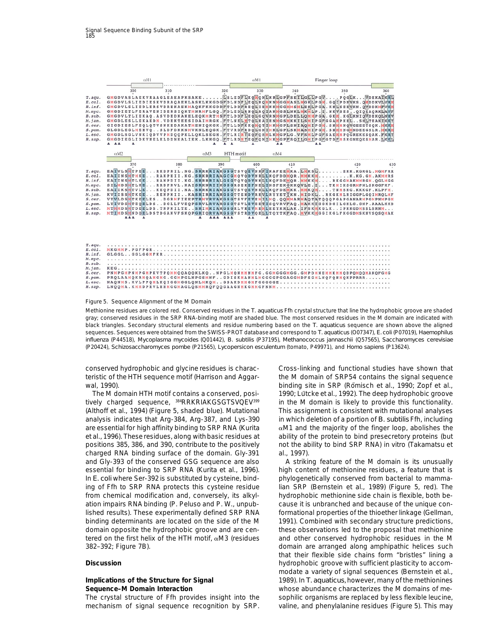

Figure 5. Sequence Alignment of the M Domain

Methionine residues are colored red. Conserved residues in the *T. aquaticus* Ffh crystal structure that line the hydrophobic groove are shaded gray; conserved residues in the SRP RNA-binding motif are shaded blue. The most conserved residues in the M domain are indicated with black triangles. Secondary structural elements and residue numbering based on the *T. aquaticus* sequence are shown above the aligned sequences. Sequences were obtained from the SWISS-PROT database and correspond to *T. aquaticus* (O07347), *E. coli* (P07019), *Haemophilus influenza* (P44518), *Mycoplasma mycoides* (Q01442), *B. subtilis* (P37195), *Methanococcus jannaschii* (Q57565), *Saccharomyces cerevisiae* (P20424), *Schizosaccharomyces pombe* (P21565), *Lycopersicon esculentum* (tomato, P49971), and *Homo sapiens* (P13624).

conserved hydrophobic and glycine residues is charac- Cross-linking and functional studies have shown that

tively charged sequence,  $384$ RRKRIAKGSGTSVQEV<sup>399</sup> in the M domain is likely to provide this functionality. charged RNA binding surface of the domain. Gly-391 al., 1997). and Gly-393 of the conserved GSG sequence are also A striking feature of the M domain is its unusually essential for binding to SRP RNA (Kurita et al., 1996). high content of methionine residues, a feature that is In *E. coli* where Ser-392 is substituted by cysteine, bind- phylogenetically conserved from bacterial to mammaing of Ffh to SRP RNA protects this cysteine residue lian SRP (Bernstein et al., 1989) (Figure 5, red). The from chemical modification and, conversely, its alkyl- hydrophobic methionine side chain is flexible, both beation impairs RNA binding (P. Peluso and P. W., unpub- cause it is unbranched and because of the unique conlished results). These experimentally defined SRP RNA formational properties of the thioether linkage (Gellman, binding determinants are located on the side of the M 1991). Combined with secondary structure predictions, domain opposite the hydrophobic groove and are cen- these observations led to the proposal that methionine tered on the first helix of the HTH motif, aM3 (residues and other conserved hydrophobic residues in the M

mechanism of signal sequence recognition by SRP. valine, and phenylalanine residues (Figure 5). This may

teristic of the HTH sequence motif (Harrison and Aggar- the M domain of SRP54 contains the signal sequence wal, 1990). binding site in SRP (Römisch et al., 1990; Zopf et al., 1990; Zopf et al., The M domain HTH motif contains a conserved, posi-<br>
1990; Lütcke et al., 1992). The deep hydrophobic groove (Althoff et al., 1994) (Figure 5, shaded blue). Mutational This assignment is consistent with mutational analyses analysis indicates that Arg-384, Arg-387, and Lys-390 in which deletion of a portion of *B. subtilis* Ffh, including are essential for high affinity binding to SRP RNA (Kurita  $\alpha$ M1 and the majority of the finger loop, abolishes the et al., 1996). These residues, along with basic residues at ability of the protein to bind presecretory proteins (but positions 385, 386, and 390, contribute to the positively not the ability to bind SRP RNA) in vitro (Takamatsu et

382–392; Figure 7B). domain are arranged along amphipathic helices such that their flexible side chains form "bristles" lining a **Discussion** hydrophobic groove with sufficient plasticity to accommodate a variety of signal sequences (Bernstein et al., **Implications of the Structure for Signal** 1989). In *T. aquaticus*, however, many of the methionines **Sequence–M Domain Interaction** whose abundance characterizes the M domains of me-The crystal structure of Ffh provides insight into the sophilic organisms are replaced by less flexible leucine,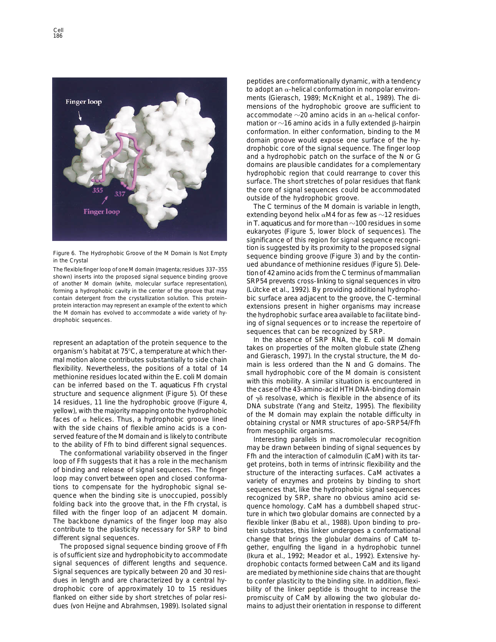

shown) inserts into the proposed signal sequence binding groove<br>of another M domain (white, molecular surface representation), SRP54 prevents cross-linking to signal sequences in vitro forming a hydrophobic cavity in the center of the groove that may (Lütcke et al., 1992). By providing additional hydrophocontain detergent from the crystallization solution. This protein-<br>
protein interaction may represent an example of the extent to which<br>
extensions present in higher organisms may increase protein interaction may represent an example of the extent to which extensions present in higher organisms may increase<br>the M domain has evolved to accommodate a wide variety of hy-<br>the hydrophobic surface area available t

represent an adaptation of the protein sequence to the  $E. cosH$  MA, the  $E. cosH$  Marmin's habitat at 75°C, at temperature at which there is also on properties of the molten ghold state (Zheng mall motion alone contributes sub

The backbone dynamics of the finger loop may also flexible linker (Babu et al., 1988). Upon binding to pro-<br>contribute to the plasticity necessary for SRP to bind tein substrates, this linker undergoes a conformational

is of sufficient size and hydrophobicity to accommodate (Ikura et al., 1992; Meador et al., 1992). Extensive hy<br>Signal sequences of different lengths and sequence. (alrophobic contacts formed between CaM and its ligand signal sequences of different lengths and sequence. drophobic contacts formed between CaM and its ligand<br>Signal sequences are typically between 20 and 30 resi- are mediated by methionine sid dues in length and are characterized by a central hy-<br>drophobic core of approximately 10 to 15 residues bility of the linker peptide is thought to increase the flanked on either side by short stretches of polar resi- promiscuity of CaM by allowing the two globular dodues (von Heijne and Abrahmsen, 1989). Isolated signal mains to adjust their orientation in response to different

peptides are conformationally dynamic, with a tendency to adopt an  $\alpha$ -helical conformation in nonpolar environments (Gierasch, 1989; McKnight et al., 1989). The dimensions of the hydrophobic groove are sufficient to accommodate  $\sim$ 20 amino acids in an  $\alpha$ -helical conformation or  $\sim$  16 amino acids in a fully extended  $\beta$ -hairpin conformation. In either conformation, binding to the M domain groove would expose one surface of the hydrophobic core of the signal sequence. The finger loop and a hydrophobic patch on the surface of the N or G domains are plausible candidates for a complementary hydrophobic region that could rearrange to cover this surface. The short stretches of polar residues that flank the core of signal sequences could be accommodated outside of the hydrophobic groove.

The C terminus of the M domain is variable in length, extending beyond helix  $\alpha$ M4 for as few as  $\sim$ 12 residues in *T. aquaticus* and for more than  $\sim$  100 residues in some eukaryotes (Figure 5, lower block of sequences). The significance of this region for signal sequence recogni-Figure 6. The Hydrophobic Groove of the M Domain Is Not Empty<br>in the Crystal<br>The flexible finger loop of one M domain (magenta; residues 337-355<br>shown) inserts into the proposed signal sequence binding groove<br>shown) insert the M domain has evolved to accommodate a wide variety of hy-<br>drophobic surface area available to facilitate bind-<br>ing of signal sequences or to increase the repertoire of sequences that can be recognized by SRP.

tein substrates, this linker undergoes a conformational different signal sequences.<br>The proposed signal sequence binding groove of Ffh aether, engulfing the ligand in a hydrophobic tunnel gether, engulfing the ligand in a hydrophobic tunnel are mediated by methionine side chains that are thought bility of the linker peptide is thought to increase the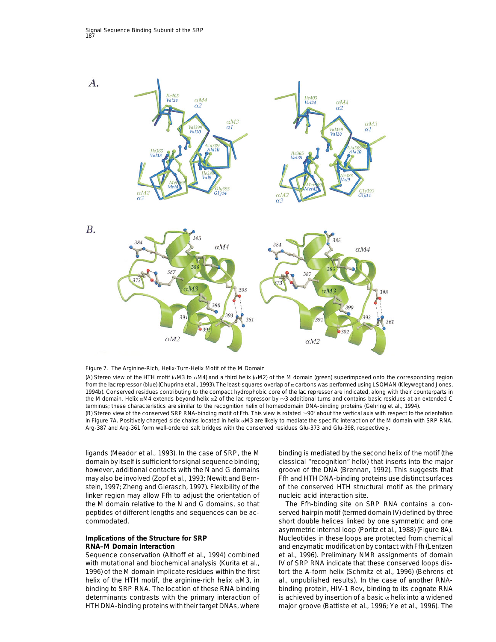



(A) Stereo view of the HTH motif ( $\alpha$ M3 to  $\alpha$ M4) and a third helix ( $\alpha$ M2) of the M domain (green) superimposed onto the corresponding region from the *lac* repressor (blue) (Chuprina et al., 1993). The least-squares overlap of a carbons was performed using LSQMAN (Kleywegt and Jones, 1994b). Conserved residues contributing to the compact hydrophobic core of the *lac* repressor are indicated, along with their counterparts in the M domain. Helix αM4 extends beyond helix α2 of the *lac* repressor by ~3 additional turns and contains basic residues at an extended C terminus; these characteristics are similar to the recognition helix of homeodomain DNA-binding proteins (Gehring et al., 1994). (B) Stereo view of the conserved SRP RNA-binding motif of Ffh. This view is rotated  $\sim$ 90° about the vertical axis with respect to the orientation in Figure 7A. Positively charged side chains located in helix aM3 are likely to mediate the specific interaction of the M domain with SRP RNA. Arg-387 and Arg-361 form well-ordered salt bridges with the conserved residues Glu-373 and Glu-398, respectively.

domain by itself is sufficient for signal sequence binding; classical "recognition" helix) that inserts into the major however, additional contacts with the N and G domains groove of the DNA (Brennan, 1992). This suggests that may also be involved (Zopf et al., 1993; Newitt and Bern- Ffh and HTH DNA-binding proteins use distinct surfaces stein, 1997; Zheng and Gierasch, 1997). Flexibility of the of the conserved HTH structural motif as the primary linker region may allow Ffh to adjust the orientation of nucleic acid interaction site.

Sequence conservation (Althoff et al., 1994) combined et al., 1996). Preliminary NMR assignments of domain with mutational and biochemical analysis (Kurita et al., IV of SRP RNA indicate that these conserved loops dishelix of the HTH motif, the arginine-rich helix  $\alpha$ M3, in al., unpublished results). In the case of another RNAbinding to SRP RNA. The location of these RNA binding binding protein, HIV-1 Rev, binding to its cognate RNA HTH DNA-binding proteins with their target DNAs, where major groove (Battiste et al., 1996; Ye et al., 1996). The

ligands (Meador et al., 1993). In the case of SRP, the M binding is mediated by the second helix of the motif (the

the M domain relative to the N and G domains, so that The Ffh-binding site on SRP RNA contains a conpeptides of different lengths and sequences can be ac-<br>served hairpin motif (termed domain IV) defined by three commodated. short double helices linked by one symmetric and one asymmetric internal loop (Poritz et al., 1988) (Figure 8A). **Implications of the Structure for SRP** Nucleotides in these loops are protected from chemical **RNA-M Domain Interaction** and enzymatic modification by contact with Ffh (Lentzen 1996) of the M domain implicate residues within the first tort the A-form helix (Schmitz et al., 1996) (Behrens et determinants contrasts with the primary interaction of is achieved by insertion of a basic  $\alpha$  helix into a widened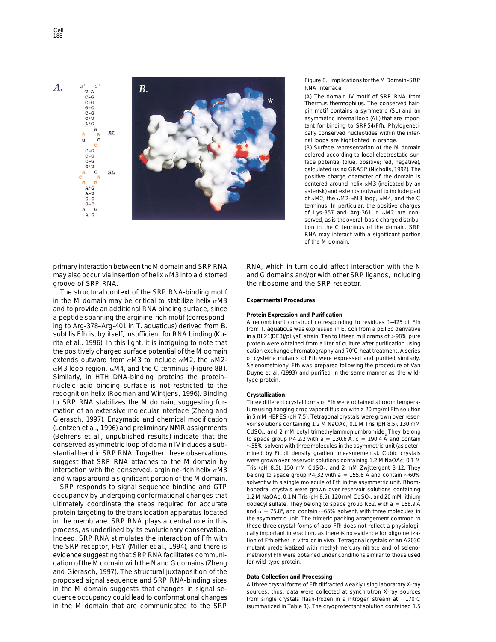

primary interaction between the M domain and SRP RNA RNA, which in turn could affect interaction with the N may also occur via insertion of helix  $\alpha$ M3 into a distorted and G domains and/or with other SRP ligands, including groove of SRP RNA. The ribosome and the SRP receptor.

The structural context of the SRP RNA-binding motif in the M domain may be critical to stabilize helix aM3 **Experimental Procedures** and to provide an additional RNA binding surface, since<br>a peptide spanning the arginine-rich motif (correspond-<br>ing to Arg-378–Arg-401 in T. aquaticus) derived from B.<br>from T. aquaticus was expressed in E. coli from a pET3 subtilis Ffh is, by itself, insufficient for RNA binding (Ku- in a BL21(DE3)/pLysE strain. Ten to fifteen milligrams of >98% pure rita et al., 1996). In this light, it is intriguing to note that protein were obtained from a liter of culture after purification using the positively charged surface potential of the M domain cation exchange chromatography and 70°C heat treatment. A series extends outward from  $\alpha$ M3 to include  $\alpha$ M2, the  $\alpha$ M2-<br> $\alpha$ M3 loop region  $\alpha$ M4 and the C terminus (Figure 8B) Selenomethionyl Ffh was prepared following the procedure of Van αM3 loop region, αM4, and the C terminus (Figure 8B).<br>Similarly, in HTH DNA-binding proteins the protein-<br>buyne et al. (1993) and purified in the same manner as the wild-<br>type protein. nucleic acid binding surface is not restricted to the recognition helix (Rooman and Wintjens, 1996). Binding **Crystallization** to SRP RNA stabilizes the M domain, suggesting for-<br>mation of an extensive molecular interface (7heng and ture using hanging drop vapor diffusion with a 20 mg/ml Ffh solution mation of an extensive molecular interface (Zheng and ture using hanging drop vapor diffusion with a 20 mg/ml Ffh solution<br>Gierasch, 1997), Enzymatic and chemical modification in 5 mM HEPES (pH 7.5). Tetragonal crystals we Gierasch, 1997). Enzymatic and chemical modification<br>(Lentzen et al., 1996) and preliminary NMR assignments<br>(Behrens et al., unpublished results) indicate that the cost, and 2 mM expl trimethylammoniumbromide. They belong<br> conserved asymmetric loop of domain IV induces a sub- $\sim$ 55% solvent with three molecules in the asymmetric unit (as deterstantial bend in SRP RNA. Together, these observations mined by Ficoll density gradient measurements). Cubic crystals suggest that SRP RNA attaches to the M domain by were grown over reservoir solutions containing 1.2 M NaOAc, 0.1 M<br>interaction with the conserved arginine-rich helix  $_{\alpha}$ M3 Tris (pH 8.5), 150 mM CdSO<sub>4</sub>, and 2 mM Zwitte Interaction with the conserved, arginine-rich helix  $\alpha$ M3 belong to space group P4<sub>1</sub>32 with a = 155.6 Å and contain  $\sim$ 60%

occupancy by undergoing conformational changes that 1.2 M NaOAc, 0.1 M Tris (pH 8.5), 120 mM CdSO4, and 20 mM lithium ultimately coordinate the steps required for accurate dodecyl sulfate. They belong to space group R32, with a = 158.9 Å<br>
protein targeting to the translocation apparatus located and  $\alpha = 75.8^{\circ}$ , and contain  $\sim$ 65% sol protein targeting to the translocation apparatus located and  $\alpha = 75.8^{\circ}$ , and contain  $\sim$ 65% solvent, with three molecules in<br>in the membrane, SRP RNA plays a central role in this the asymmetric unit. The trimeric pac in the membrane. SRP RNA plays a central role in this<br>process, as underlined by its evolutionary conservation.<br>Indeed, SRP RNA stimulates the interaction of Ffh with<br>the of Ffh either in vitro or in vivo. Tetragonal crysta evidence suggesting that SRP RNA facilitates communi-<br>cation of the M domain with the N and G domains (Zheng for wild-type protein. cation of the M domain with the N and G domains (Zheng and Gierasch, 1997). The structural juxtaposition of the<br>proposed signal sequence and SRP RNA-binding sites<br>in the M domain suggests that changes in signal se-<br>sources; thus, data were collected at synchrotron X-ray source quence occupancy could lead to conformational changes from single crystals flash-frozen in a nitrogen stream at  $-170^\circ$ C

Figure 8. Implications for the M Domain-SRP RNA Interface

(A) The domain IV motif of SRP RNA from *Thermus thermophilus*. The conserved hairpin motif contains a symmetric (SL) and an asymmetric internal loop (AL) that are important for binding to SRP54/Ffh. Phylogenetically conserved nucleotides within the internal loops are highlighted in orange.

(B) Surface representation of the M domain colored according to local electrostatic surface potential (blue, positive; red, negative), calculated using GRASP (Nicholls, 1992). The positive charge character of the domain is centered around helix aM3 (indicated by an asterisk) and extends outward to include part of aM2, the aM2-aM3 loop, aM4, and the C terminus. In particular, the positive charges of Lys-357 and Arg-361 in aM2 are conserved, as is theoverall basic charge distribution in the C terminus of the domain. SRP RNA may interact with a significant portion of the M domain.

and wraps around a significant portion of the M domain.<br>SRP responds to signal sequence binding and GTP<br>bohedral crystals were grown over reservoir solutions containing mutant prederivatized with methyl-mercury nitrate and of seleno-

in the M domain that are communicated to the SRP (summarized in Table 1). The cryoprotectant solution contained 1.5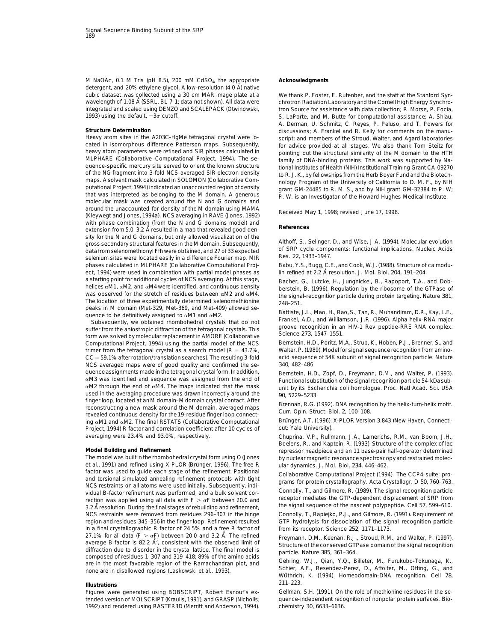M NaOAc, 0.1 M Tris (pH 8.5), 200 mM CdSO4, the appropriate **Acknowledgments** detergent, and 20% ethylene glycol. A low-resolution (4.0 Å) native cubic dataset was collected using a 30 cm MAR image plate at a wavelength of 1.08 Å (SSRL, BL 7-1; data not shown). All data were chrotron Radiation Laboratory and the Cornell High Energy Synchro-

quence-specific mercury site served to orient the known structure<br>of the NG fragment into 3-fold NCS-averaged SIR electron density<br>maps. A solvent mask calculated in SOLOMON (Collaborative Com-<br>putational Project, 1994) in around the unaccounted-for density of the M domain using MAMA Received May 1, 1998; revised June 17, 1998.<br>(Kleywegt and Jones, 1994a). NCS averaging in RAVE (Jones, 1992) Received May 1, 1998; revised June 17, 1998. with phase combination (from the N and G domains model) and<br>extension from 5.0–3.2 A resulted in a map that revealed good den-**References** sity for the N and G domains, but only allowed visualization of the<br>gross secondary structural features in the M domain. Subsequently,<br>data from selenomethionyl Ffh were obtained, and 27 of 33 expected<br>selenium sites were phases calculated in MLPHARE (Collaborative Computational Proj- Babu, Y.S., Bugg, C.E., and Cook, W.J. (1988). Structure of calmoduect, 1994) were used in combination with partial model phases as lin refined at 2.2 A resolution. J. Mol. Biol. 204, 191–204. a starting point for additional cycles of NCS averaging. At this stage,<br>helices  $\alpha$ M1,  $\alpha$ M2, and  $\alpha$ M4 were identified, and continuous density<br>was observed for the stretch of residues between  $\alpha$ M2 and  $\alpha$ M4.<br>The lo

Subsequently, we obtained rhombohedral crystals that do not<br>suffer from the aniostropic diffraction of the tetragonal crystals. This<br>form was solved by molecular replacement in AMORE (Collaborative<br>Computational Project. 1 Computational Project, 1994) using the partial model of the NCS trimer from the tetragonal crystal as a search model (R = 43.7%, Walter, P. (1989). Model for signal sequence recognition from amino-CC 5 59.1% after rotation/translation searches). The resulting 3-fold acid sequence of 54K subunit of signal recognition particle. Nature NCS averaged maps were of good quality and confirmed the se- *340*, 482–486. quence assignments made in the tetragonal crystal form. In addition, Bernstein, H.D., Zopf, D., Freymann, D.M., and Walter, P. (1993).<br>«M3 was identified and sequence was assigned from the end of Functional substitution of  $\alpha$ M3 was identified and sequence was assigned from the end of<br>  $\alpha$ M2 through the end of  $\alpha$ M4. The maps indicated that the mask<br>
unit by its Escherichia coli homologue. Proc. Natl Acad. Sci. USA<br>
used in the averaging ringer loop, located at after domain-wrotonian crystal contact. Fries<br>reconstructing a new mask around the M domain, averaged maps<br>revealed continuous density for the 19-residue finger loop connect-<br>ing oM1 and oM2. The fi ing αM1 and αM2. The final RSTATS (Collaborative Computational Brünger, A.T. (1996).<br>Project, 1994) R factor and correlation coefficient after 10 cycles of cut: Yale University). Project, 1994) R factor and correlation coefficient after 10 cycles of averaging were 23.4% and 93.0%, respectively. Chuprina, V.P., Rullmann, J.A., Lamerichs, R.M., van Boom, J.H.,

et al., 1991) and refined using X-PLOR (Brunger, 1996). The free R ular dynamics. J. Mol. Biol. 234, 446–462.<br>Factor was used to guide each stage of the refinement. Positional collaborative Computational Project (199 ractor was used to guide each stage of the reinferient. Positional<br>and torsional simulated annealing refinement protocols with tight<br>NCS restraints on all atoms were used initially. Subsequently, indi-<br>NCS restraints on al rection was applied using all data with  $F > \sigma F$  between 20.0 and 3.2 A resolution. During the final stages of rebuilding and refinement, the signal sequence of the nascent polypeptide. Cell 57, 599–610. NCS restraints were removed from residues 296-307 in the hinge Connolly, T., Rapiejko, P.J., and Gilmore, R. (1991). Requirement of region and residues 345–356 in the finger loop. Refinement resulted GTP hydrolysis for dissociation of the signal recognition particle in a final crystallographic R factor of 24.5% and a free R factor of from its receptor. Science *252*, 1171–1173. 27.1% for all data (F >  $\sigma$ F) between 20.0 and 3.2 A. The refined Freymann, D.M., Keenan, R.J., Stroud, R.M., and Walter, P. (1997). average B factor is 82.2  $A^2$ , consistent with the observed limit of Structure of the average B factor is 82.2 A<sup>2</sup>, consistent with the observed limit of<br>diffraction due to disorder in the crystal lattice. The final model is<br>composed of residues 1–307 and 319–418; 89% of the amino acids<br>are in the most fav

## 211–223. **Illustrations**

Figures were generated using BOBSCRIPT, Robert Esnouf's ex- Gellman, S.H. (1991). On the role of methionine residues in the setended version of MOLSCRIPT (Kraulis, 1991), and GRASP (Nicholls, quence-independent recognition of nonpolar protein surfaces. Bio-1992) and rendered using RASTER3D (Merritt and Anderson, 1994). chemistry *30*, 6633–6636.

We thank P. Foster, E. Rutenber, and the staff at the Stanford Synintegrated and scaled using DENZO and SCALEPACK (Otwinowski, tron Source for assistance with data collection; R. Morse, P. Focia,<br>1993) using the default, -3or cutoff. (A. Shiau, section of the S. LaPorte, and M. Butte for S. LaPorte, and M. Butte for computational assistance; A. Shiau, A. Derman, U. Schmitz, C. Reyes, P. Peluso, and T. Powers for Structure Determination<br>Heavy atom sites in the A203C-HgMe tetragonal crystal were lo-<br>Heavy atom sites in the A203C-HgMe tetragonal crystal were lo-<br>script: and members of the Stroug Walter, and Agard laboratories Heavy atom sites in the A203C-HgMe tetragonal crystal were lo-script; and members of the Stroud, Walter, and Agard laboratories<br>Cated in isomorphous difference Patterson maps. Subsequently, strong advice provided at all st cated in isomorphous difference Patterson maps. Subsequently, for advice provided at all stages. We also thank Tom Steitz for<br>heavy atom parameters were refined and SIR phases calculated in pointing out the structural simi heavy atom parameters were refined and SIR phases calculated in epointing out the structural similarity of the M domain to the HTH<br>MLPHARE (Collaborative Computational Project, 1994). The se-eragniv of DNA-binding proteins MLPHARE (Collaborative Computational Project, 1994). The se- family of DNA-binding proteins. This work was supported by Na-<br>quence-specific mercury site served to orient the known structure tional Institutes of Health (NIH

peaks in M domain (Met-329, Met-369), and Met-409) allowed se-<br>Battiste, J.L., Mao, H., Rao, S., Tan, R., Muhandiram, D.R., Kay, L.E.,<br>Frankel, A.D., and Williamson, J.R. (1996). Alpha helix-RNA major

Boelens, R., and Kaptein, R. (1993). Structure of the complex of *lac* Model Building and Refinement<br>The model was built in the rhombohedral crystal form using O (Jones by nuclear magnetic resonance spectroscopy and restrained molecby nuclear magnetic resonance spectroscopy and restrained molec-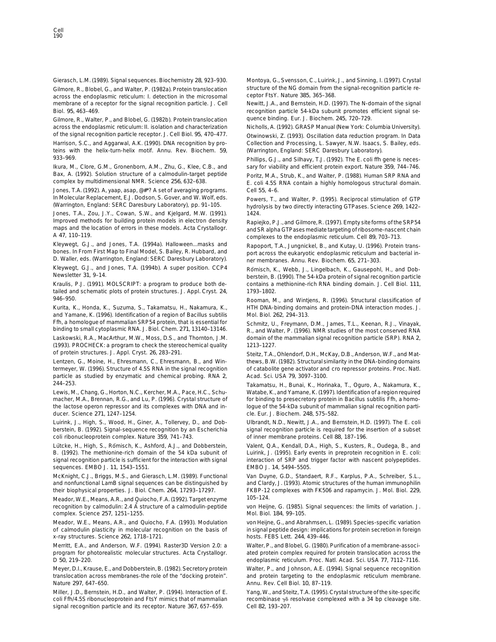Gilmore, R., Blobel, G., and Walter, P. (1982a). Protein translocation structure of the NG domain from the signal-recognition particle re-<br>across the endoplasmic reticulum: I. detection in the microsomal ceptor FtsY. Natur across the endoplasmic reticulum: I. detection in the microsomal ceptor FtsY. Nature 385, 365–368.<br>The Moral are endoplasmic reticulum: I. detection in the microsomal ceptor FtsY. Nature 385, 365–368. The N-domain of the s membrane of a receptor for the signal recognition particle. J. Cell Biol. 95, 463-469. **recognition particle 54-kDa subunit promotes efficient signal se-**

across the endoplasmic reticulum: II. isolation and characterization Nicholls, A. (1992). GRASP Manual (New York: Columbia University). of the signal recognition particle receptor. J. Cell Biol. *95*, 470–477. Otwinowski, Z. (1993). Oscillation data reduction program. In Data teins with the helix-turn-helix motif. Annu. Rev. Biochem. 59, 933–969. Phillips, G.J., and Silhavy, T.J. (1992). The E. coli ffh gene is neces-

Ikura, M., Clore, G.M., Gronenborn, A.M., Zhu, G., Klee, C.B., and sary for viability and efficient protein export. Nature *359*, 744–746. Bax, A. (1992). Solution structure of a calmodulin-target peptide poritz, M.A., Strub, K., and Walter, P. (1988). Human SRP RNA and<br>Complex by multidimensional NMR. Science 256, 632–638. C. Goli 4.5S RNA contain a highly h

Jones, T.A. (1992). A, yaap, asap, @#\*? A set of averaging programs. Cell *55*, 4–6.

Jones, T.A., Zou, J.Y., Cowan, S.W., and Kjelgard, M.W. (1991). Improved methods for building protein models in electron density Rapiejko, P.J.,and Gilmore,R. (1997). Empty site forms of the SRP54 maps and the location of errors in these models. Acta Crystallogr. and SR alpha GTPases mediate targeting of ribosome-nascent chain<br>A 47, 110-119. complexes to the endoplasmic reticulum Cell 89, 703-713

Kleywegt, G.J., and Jones, T.A. (1994a). Halloween...masks and Rapoport, T.A., Jungnickel, B., and Kutay, U. (1996). Protein trans-<br>Lones. In From First Map to Final Model, S. Bailey, R. Hubbard, and port across the eukary D. Waller, eds. (Warrington, England: SERC Daresbury Laboratory). ner membranes. Annu. Rev. Biochem. *65*, 271–303.

tailed and schematic plots of protein structures. J. Appl. Cryst. *24*, 1793–1802. 946–950. Rooman, M., and Wintjens, R. (1996). Structural classification of

and Yamane, K. (1996). Identification of a region of Bacillus subtilis Mol. Biol. *262*, 294–313. Ffh, a homologue of mammalian SRP54 protein, that is essential for Schmitz, U., Freymann, D.M., James, T.L., Keenan, R.J., Vinayak, binding to small cytoplasmic RNA. J. Biol. Chem. 271, 13140-13146.<br>binding to small cytopl (1993). PROCHECK: a program to check the stereochemical quality 1213–1227. of protein structures. J. Appl. Cryst. *26*, 283–291. Steitz, T.A., Ohlendorf, D.H., McKay, D.B., Anderson, W.F., and Mat-

termeyer, W. (1996). Structure of 4.5S RNA in the signal recognition of catabolite gene activator and cro repressor proteins. Proc. Natl. particle as studied by enzymatic and chemical probing. RNA *2*, Acad. Sci. USA *79*, 3097–3100. 244–253. Takamatsu, H., Bunai, K., Horinaka, T., Oguro, A., Nakamura, K.,

macher, M.A., Brennan, R.G., and Lu, P. (1996). Crystal structure of for binding to presecretory protein in Bacillus subtilis Ffh, a homothe lactose operon repressor and its complexes with DNA and in- logue of the 54-kDa subunit of mammalian signal recognition partiducer. Science *271*, 1247–1254. cle. Eur. J. Biochem. *248*, 575–582.

berstein, B. (1992). Signal-sequence recognition by an Escherichia signal recognition particle is required for the insertion of a subset coli ribonucleoprotein complex. Nature *359*, 741–743. of inner membrane proteins. Cell *88*, 187–196.

B. (1992). The methionine-rich domain of the 54 kDa subunit of Luirink, J. (1995). Early events in preprotein recognition in E. coli: signal recognition particle is sufficient for the interaction with signal interaction of SRP and trigger factor with nascent polypeptides. sequences. EMBO J. *11*, 1543–1551. EMBO J. *14*, 5494–5505.

and nonfunctional LamB signal sequences can be distinguished by their biophysical properties. J. Biol. Chem. *264*, 17293–17297. FKBP-12 complexes with FK506 and rapamycin. J. Mol. Biol. *229*,

Meador, W.E., Means, A.R., and Quiocho, F.A. (1992). Target enzyme 105-124. recognition by calmodulin: 2.4 Å structure of a calmodulin-peptide von Heijne, G. (1985). Signal sequences: the limits of variation. J. complex. Science *257*, 1251–1255. Mol. Biol. *184*, 99–105.

of calmodulin plasticity in molecular recognition on the basis of in signal peptide design: implications for protein secretion in foreign x-ray structures. Science *262*, 1718–1721. hosts. FEBS Lett. *244*, 439–446.

program for photorealistic molecular structures. Acta Crystallogr. ated protein complex required for protein translocation across the

translocation across membranes-the role of the "docking protein". and protein targeting to the endoplasmic reticulum membrane. Nature *297*, 647–650. Annu. Rev. Cell Biol. *10*, 87–119.

coli Ffh/4.5S ribonucleoprotein and FtsY mimics that of mammalian recombinase  $\gamma\delta$  resolvase complexed with a 34 bp cleavage site. signal recognition particle and its receptor. Nature *367*, 657–659. Cell *82*, 193–207.

Gierasch, L.M. (1989). Signal sequences. Biochemistry *28*, 923–930. Montoya, G., Svensson, C., Luirink, J., and Sinning, I. (1997). Crystal

Gilmore, R., Walter, P., and Blobel, G. (1982b). Protein translocation quence binding. Eur. J. Biochem. *245*, 720–729.

Collection and Processing, L. Sawyer, N.W. Isaacs, S. Bailey, eds.<br>(Warrington, England: SERC Daresbury Laboratory).

E. coli 4.5S RNA contain a highly homologous structural domain.

In Molecular Replacement, E.J. Dodson, S. Gover, and W. Wolf, eds. Powers, T., and Walter, P. (1995). Reciprocal stimulation of GTP<br>(Warrington, England: SERC Daresbury Laboratory), pp. 91–105. Photolysis by two directly i hydrolysis by two directly interacting GTPases. Science 269, 1422-

A *47*, 110–119. complexes to the endoplasmic reticulum. Cell *89*, 703–713.

port across the eukaryotic endoplasmic reticulum and bacterial in-

Kleywegt, G.J., and Jones, T.A. (1994b). A super position. CCP4 Ro¨ misch, K., Webb, J., Lingelbach, K., Gausepohl, H., and Dobberstein, B. (1990). The 54-kDa protein of signal recognition particle Kraulis, P.J. (1991). MOLSCRIPT: a program to produce both de- contains a methionine-rich RNA binding domain. J. Cell Biol. *111*,

Kurita, K., Honda, K., Suzuma, S., Takamatsu, H., Nakamura, K., HTH DNA-binding domains and protein-DNA interaction modes. J.

domain of the mammalian signal recognition particle (SRP). RNA 2,

Lentzen, G., Moine, H., Ehresmann, C., Ehresmann, B., and Win- thews, B.W. (1982). Structural similarity in the DNA-binding domains

Lewis, M., Chang, G., Horton, N.C., Kercher, M.A., Pace, H.C., Schu- Watabe, K.,and Yamane, K. (1997). Identification of a region required

Luirink, J., High, S., Wood, H., Giner, A., Tollervey, D., and Dob- Ulbrandt, N.D., Newitt, J.A., and Bernstein, H.D. (1997). The E. coli

Lütcke, H., High, S., Römisch, K., Ashford, A.J., and Dobberstein, Valent, Q.A., Kendall, D.A., High, S., Kusters, R., Oudega, B., and

McKnight, C.J., Briggs, M.S., and Gierasch, L.M. (1989). Functional Van Duyne, G.D., Standaert, R.F., Karplus, P.A., Schreiber, S.L., and Gierasch, L.M. (1989). Atomic structures of the human immunophilin

Meador, W.E., Means, A.R., and Quiocho, F.A. (1993). Modulation von Heijne, G., and Abrahmsen, L. (1989). Species-specific variation

Merritt, E.A., and Anderson, W.F. (1994). Raster3D Version 2.0: a Walter, P., and Blobel, G. (1980). Purification of a membrane-associ-D *50*, 219–220. endoplasmic reticulum. Proc. Natl. Acad. Sci. USA *77*, 7112–7116. Meyer, D.I., Krause, E., and Dobberstein, B. (1982). Secretory protein Walter, P., and Johnson, A.E. (1994). Signal sequence recognition

Miller, J.D., Bernstein, H.D., and Walter, P. (1994). Interaction of E. Yang, W., andSteitz, T.A. (1995). Crystal structure of the site-specific